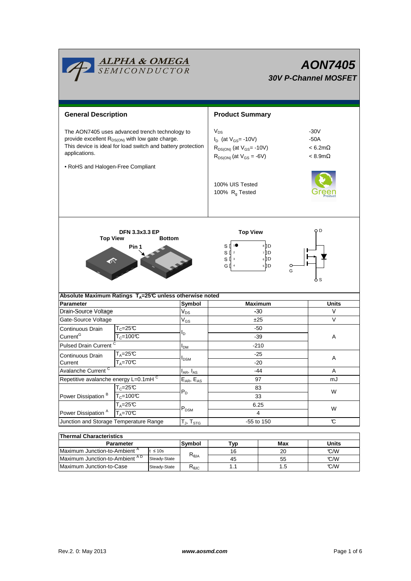

# **AON7405 30V P-Channel MOSFET**

| <b>General Description</b>                                                                                                                                                                    |                                          |                                |                                                        | <b>Product Summary</b>                                                                                           |              |                                                           |  |
|-----------------------------------------------------------------------------------------------------------------------------------------------------------------------------------------------|------------------------------------------|--------------------------------|--------------------------------------------------------|------------------------------------------------------------------------------------------------------------------|--------------|-----------------------------------------------------------|--|
| The AON7405 uses advanced trench technology to<br>provide excellent R <sub>DS(ON)</sub> with low gate charge.<br>This device is ideal for load switch and battery protection<br>applications. |                                          |                                |                                                        | $V_{DS}$<br>$I_D$ (at $V_{GS}$ = -10V)<br>$R_{DS(ON)}$ (at $V_{GS}$ = -10V)<br>$R_{DS(ON)}$ (at $V_{GS} = -6V$ ) |              | $-30V$<br>$-50A$<br>$< 6.2 m\Omega$<br>$< 8.9$ m $\Omega$ |  |
| • RoHS and Halogen-Free Compliant                                                                                                                                                             |                                          |                                |                                                        | 100% UIS Tested<br>100% $R_g$ Tested                                                                             |              |                                                           |  |
| <b>Top View</b>                                                                                                                                                                               | <b>DFN 3.3x3.3 EP</b>                    | <b>Bottom</b>                  |                                                        | <b>Top View</b>                                                                                                  | ОD           |                                                           |  |
| 8 <sup>D</sup><br>s∥<br>Pin 1<br>7 D<br>$S \parallel$ 2<br>$6$ D<br>$S^{13}$<br>◀<br>$5$ <sup>D</sup><br>G ∏ 4<br>o<br>G<br>o s                                                               |                                          |                                |                                                        |                                                                                                                  |              |                                                           |  |
| Absolute Maximum Ratings $T_A = 25^\circ \text{C}$ unless otherwise noted                                                                                                                     |                                          |                                |                                                        |                                                                                                                  |              |                                                           |  |
| <b>Parameter</b>                                                                                                                                                                              |                                          |                                | Symbol                                                 | <b>Maximum</b>                                                                                                   |              | <b>Units</b>                                              |  |
| Drain-Source Voltage                                                                                                                                                                          |                                          |                                | $\mathsf{V}_{\mathsf{DS}}$                             | -30                                                                                                              |              | v                                                         |  |
| Gate-Source Voltage                                                                                                                                                                           |                                          |                                | $\rm V_{GS}$                                           | ±25                                                                                                              |              | V                                                         |  |
| Continuous Drain                                                                                                                                                                              |                                          | $\mathsf{T}_{\mathbb C}$ =25°C |                                                        | $-50$                                                                                                            |              |                                                           |  |
| Current <sup>G</sup><br>$\mathsf{T}_{\mathsf{C}}$ =100°C                                                                                                                                      |                                          |                                |                                                        | $-39$                                                                                                            |              | Α                                                         |  |
| <b>Pulsed Drain Current</b>                                                                                                                                                                   |                                          |                                | I <sub>DM</sub>                                        | $-210$                                                                                                           |              |                                                           |  |
| Continuous Drain                                                                                                                                                                              | $T_A = 25C$<br>$T_A = 70$ <sup>C</sup>   |                                | $I_{DSM}$<br>$I_{AR}$ , $I_{AS}$                       | $-25$<br>$-20$<br>-44                                                                                            |              | Α<br>Α                                                    |  |
| Current<br>Avalanche Current <sup>C</sup>                                                                                                                                                     |                                          |                                |                                                        |                                                                                                                  |              |                                                           |  |
| Repetitive avalanche energy L=0.1mHC                                                                                                                                                          |                                          |                                | $\mathsf{E}_{\mathsf{AR}},\, \mathsf{E}_{\mathsf{AS}}$ | 97                                                                                                               |              | mJ                                                        |  |
|                                                                                                                                                                                               | $\mathsf{T}_{\mathbb C}$ =25 $\mathbb C$ |                                |                                                        | 83<br>33                                                                                                         |              | W                                                         |  |
| Power Dissipation <sup>B</sup>                                                                                                                                                                | $T_c = 100C$                             |                                | $P_D$                                                  |                                                                                                                  |              |                                                           |  |
|                                                                                                                                                                                               | $T_A = 25C$                              |                                |                                                        | 6.25                                                                                                             |              |                                                           |  |
| Power Dissipation <sup>A</sup><br>$T_A = 70$ °C                                                                                                                                               |                                          |                                | $\mathsf{P}_\mathsf{DSM}$                              | 4                                                                                                                |              | W                                                         |  |
| Junction and Storage Temperature Range                                                                                                                                                        |                                          |                                | $T_J$ , $T_{STG}$                                      | -55 to 150                                                                                                       |              | C                                                         |  |
|                                                                                                                                                                                               |                                          |                                |                                                        |                                                                                                                  |              |                                                           |  |
| <b>Thermal Characteristics</b>                                                                                                                                                                |                                          |                                |                                                        |                                                                                                                  |              |                                                           |  |
| Parameter<br>Maximum Junction-to-Ambient A<br>$t \leq 10s$                                                                                                                                    |                                          | Symbol                         | <b>Typ</b>                                             | Max                                                                                                              | <b>Units</b> |                                                           |  |
| Maximum Junction-to-Ambient AD                                                                                                                                                                |                                          | Steady-State                   | $R_{\theta JA}$                                        | 16<br>45                                                                                                         | 20<br>55     | °C/W<br>C/W                                               |  |
| Maximum Junction-to-Case<br>Steady-State                                                                                                                                                      |                                          | $R_{\theta$ JC                 | 1.1                                                    | 1.5                                                                                                              | °C/W         |                                                           |  |
|                                                                                                                                                                                               |                                          |                                |                                                        |                                                                                                                  |              |                                                           |  |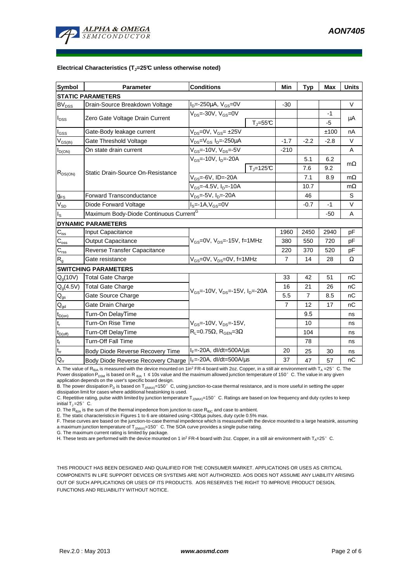

#### **Electrical Characteristics (TJ=25°C unless otherwise noted)**

| <b>Symbol</b>                 | Parameter                                                  | <b>Conditions</b>                                       | Min            | <b>Typ</b>     | Max    | <b>Units</b> |  |  |  |  |  |
|-------------------------------|------------------------------------------------------------|---------------------------------------------------------|----------------|----------------|--------|--------------|--|--|--|--|--|
| <b>STATIC PARAMETERS</b>      |                                                            |                                                         |                |                |        |              |  |  |  |  |  |
| <b>BV<sub>DSS</sub></b>       | Drain-Source Breakdown Voltage                             | $I_{D} = -250 \mu A$ , $V_{GS} = 0V$                    | $-30$          |                |        | V            |  |  |  |  |  |
| I <sub>DSS</sub>              | Zero Gate Voltage Drain Current                            | $V_{DS}$ =-30V, $V_{GS}$ =0V                            |                |                | $-1$   | μA           |  |  |  |  |  |
|                               |                                                            | $T_{\rm J}$ =55°C                                       |                |                | -5     |              |  |  |  |  |  |
| $\mathsf{I}_{\mathsf{GSS}}$   | Gate-Body leakage current                                  | $V_{DS} = 0V$ , $V_{GS} = \pm 25V$                      |                |                | ±100   | nA           |  |  |  |  |  |
| $V_{GS(th)}$                  | Gate Threshold Voltage                                     | V <sub>DS</sub> =V <sub>GS</sub> I <sub>D</sub> =-250µA | $-1.7$         | $-2.2$         | $-2.8$ | V            |  |  |  |  |  |
| $I_{D(ON)}$                   | $V_{GS}$ =-10V, $V_{DS}$ =-5V<br>On state drain current    |                                                         | $-210$         |                |        | A            |  |  |  |  |  |
| $R_{DS(ON)}$                  |                                                            | $V_{GS}$ =-10V, $I_{D}$ =-20A                           |                | 5.1            | 6.2    | $m\Omega$    |  |  |  |  |  |
|                               | Static Drain-Source On-Resistance                          | $T_i = 125C$                                            |                | 7.6            | 9.2    |              |  |  |  |  |  |
|                               |                                                            | V <sub>GS</sub> =-6V, ID=-20A                           |                | 7.1            | 8.9    | $m\Omega$    |  |  |  |  |  |
|                               |                                                            | V <sub>GS</sub> =-4.5V, I <sub>D</sub> =-10A            |                | 10.7           |        | $m\Omega$    |  |  |  |  |  |
| $g_{FS}$                      | <b>Forward Transconductance</b>                            | $V_{DS} = -5V$ , $I_D = -20A$                           |                | 46             |        | S            |  |  |  |  |  |
| $V_{SD}$                      | Diode Forward Voltage                                      | $IS=-1A, VGS=0V$                                        |                | $-0.7$         | $-1$   | $\vee$       |  |  |  |  |  |
| Is                            | Maximum Body-Diode Continuous Current <sup>G</sup>         |                                                         |                | $-50$          | A      |              |  |  |  |  |  |
|                               | <b>DYNAMIC PARAMETERS</b>                                  |                                                         |                |                |        |              |  |  |  |  |  |
| $C_{\hbox{\scriptsize{iss}}}$ | Input Capacitance                                          |                                                         | 1960           | 2450           | 2940   | рF           |  |  |  |  |  |
| $C_{\rm oss}$                 | <b>Output Capacitance</b>                                  | $V_{GS}$ =0V, $V_{DS}$ =-15V, f=1MHz                    | 380            | 550            | 720    | pF           |  |  |  |  |  |
| $\mathsf{C}_{\mathsf{rss}}$   | Reverse Transfer Capacitance                               |                                                         | 220            | 370            | 520    | pF           |  |  |  |  |  |
| R <sub>g</sub>                | Gate resistance                                            | $V_{GS}$ =0V, $V_{DS}$ =0V, f=1MHz                      |                | 14             | 28     | Ω            |  |  |  |  |  |
| <b>SWITCHING PARAMETERS</b>   |                                                            |                                                         |                |                |        |              |  |  |  |  |  |
| $Q_g(10V)$                    | <b>Total Gate Charge</b>                                   |                                                         |                | 42             | 51     | nC           |  |  |  |  |  |
| $Q_g(4.5V)$                   | <b>Total Gate Charge</b>                                   | $V_{GS}$ =-10V, $V_{DS}$ =-15V, $I_{D}$ =-20A           | 16             | 21             | 26     | nC           |  |  |  |  |  |
| $\mathsf{Q}_{\mathsf{gs}}$    | Gate Source Charge                                         |                                                         | 5.5            | $\overline{7}$ | 8.5    | nC           |  |  |  |  |  |
| $\mathbf{Q}_{\text{gd}}$      | Gate Drain Charge                                          |                                                         | $\overline{7}$ | 12             | 17     | nC           |  |  |  |  |  |
| $t_{D(on)}$                   | Turn-On DelayTime                                          |                                                         |                | 9.5            |        | ns           |  |  |  |  |  |
| $t_r$                         | Turn-On Rise Time                                          | $V_{GS}$ =-10V, $V_{DS}$ =-15V,                         |                | 10             |        | ns           |  |  |  |  |  |
| $t_{D(off)}$                  | Turn-Off DelayTime                                         | $R_L = 0.75\Omega$ , $R_{GEN} = 3\Omega$                |                | 104            |        | ns           |  |  |  |  |  |
| $t_f$                         | <b>Turn-Off Fall Time</b>                                  |                                                         |                | 78             |        | ns           |  |  |  |  |  |
| $t_{rr}$                      | Body Diode Reverse Recovery Time                           | $I_F$ =-20A, dl/dt=500A/ $\mu$ s                        | 20             | 25             | 30     | ns           |  |  |  |  |  |
| $Q_{rr}$                      | Body Diode Reverse Recovery Charge   F=-20A, dl/dt=500A/us |                                                         | 37             | 47             | 57     | nC           |  |  |  |  |  |

A. The value of R<sub>θJA</sub> is measured with the device mounted on 1in<sup>2</sup> FR-4 board with 2oz. Copper, in a still air environment with T<sub>A</sub> =25°C. The Power dissipation P<sub>DSM</sub> is based on R <sub>θJA</sub> t ≤ 10s value and the maximum allowed junction temperature of 150°C. The value in any given application depends on the user's specific board design.

B. The power dissipation P<sub>D</sub> is based on T<sub>J(MAX)</sub>=150°C, using junction-to-case thermal resistance, and is more useful in setting the upper<br>dissipation limit for cases where additional heatsinking is used.

C. Repetitive rating, pulse width limited by junction temperature  $T_{J(MAX)}$ =150°C. Ratings are based on low frequency and duty cycles to keep initial  $T_J = 25^\circ$  C.

D. The  $R_{\theta JA}$  is the sum of the thermal impedence from junction to case  $R_{\theta JC}$  and case to ambient.

E. The static characteristics in Figures 1 to 6 are obtained using <300µs pulses, duty cycle 0.5% max.<br>F. These curves are based on the junction-to-case thermal impedence which is measured with the device mounted to a larg a maximum junction temperature of T<sub>J(MAX)</sub>=150°C. The SOA curve provides a single pulse rating.

G. The maximum current rating is limited by package.

H. These tests are performed with the device mounted on 1 in<sup>2</sup> FR-4 board with 2oz. Copper, in a still air environment with  $T_A=25^\circ$  C.

THIS PRODUCT HAS BEEN DESIGNED AND QUALIFIED FOR THE CONSUMER MARKET. APPLICATIONS OR USES AS CRITICAL COMPONENTS IN LIFE SUPPORT DEVICES OR SYSTEMS ARE NOT AUTHORIZED. AOS DOES NOT ASSUME ANY LIABILITY ARISING OUT OF SUCH APPLICATIONS OR USES OF ITS PRODUCTS. AOS RESERVES THE RIGHT TO IMPROVE PRODUCT DESIGN, FUNCTIONS AND RELIABILITY WITHOUT NOTICE.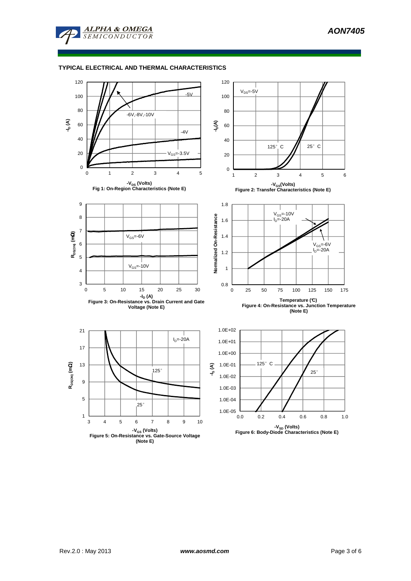

## **TYPICAL ELECTRICAL AND THERMAL CHARACTERISTICS**

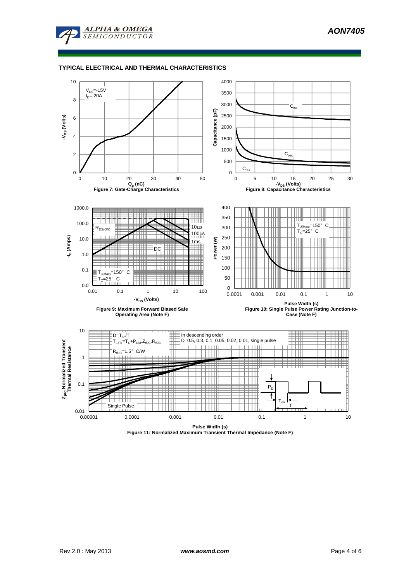

#### **TYPICAL ELECTRICAL AND THERMAL CHARACTERISTICS**



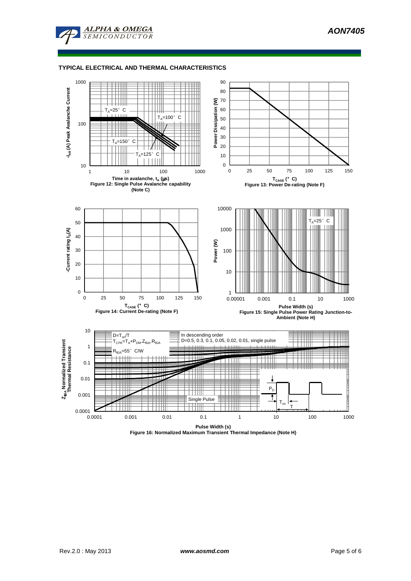

#### **TYPICAL ELECTRICAL AND THERMAL CHARACTERISTICS**